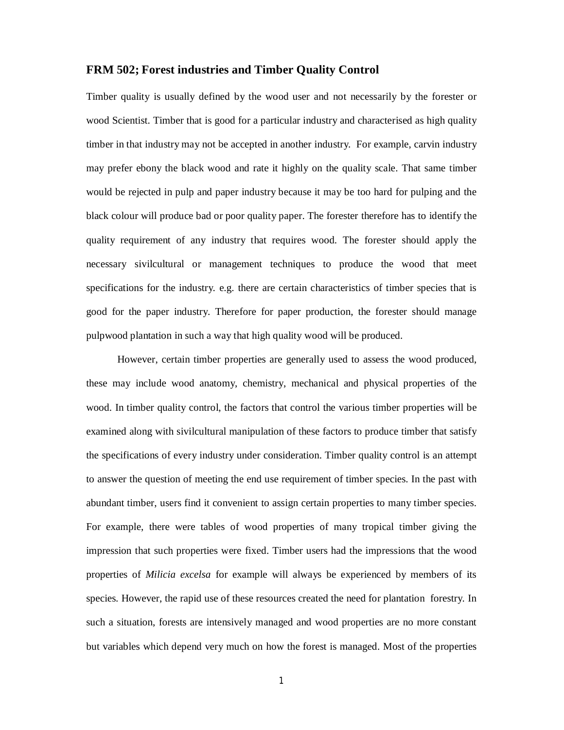# **FRM 502; Forest industries and Timber Quality Control**

Timber quality is usually defined by the wood user and not necessarily by the forester or wood Scientist. Timber that is good for a particular industry and characterised as high quality timber in that industry may not be accepted in another industry. For example, carvin industry may prefer ebony the black wood and rate it highly on the quality scale. That same timber would be rejected in pulp and paper industry because it may be too hard for pulping and the black colour will produce bad or poor quality paper. The forester therefore has to identify the quality requirement of any industry that requires wood. The forester should apply the necessary sivilcultural or management techniques to produce the wood that meet specifications for the industry. e.g. there are certain characteristics of timber species that is good for the paper industry. Therefore for paper production, the forester should manage pulpwood plantation in such a way that high quality wood will be produced.

However, certain timber properties are generally used to assess the wood produced, these may include wood anatomy, chemistry, mechanical and physical properties of the wood. In timber quality control, the factors that control the various timber properties will be examined along with sivilcultural manipulation of these factors to produce timber that satisfy the specifications of every industry under consideration. Timber quality control is an attempt to answer the question of meeting the end use requirement of timber species. In the past with abundant timber, users find it convenient to assign certain properties to many timber species. For example, there were tables of wood properties of many tropical timber giving the impression that such properties were fixed. Timber users had the impressions that the wood properties of *Milicia excelsa* for example will always be experienced by members of its species. However, the rapid use of these resources created the need for plantation forestry. In such a situation, forests are intensively managed and wood properties are no more constant but variables which depend very much on how the forest is managed. Most of the properties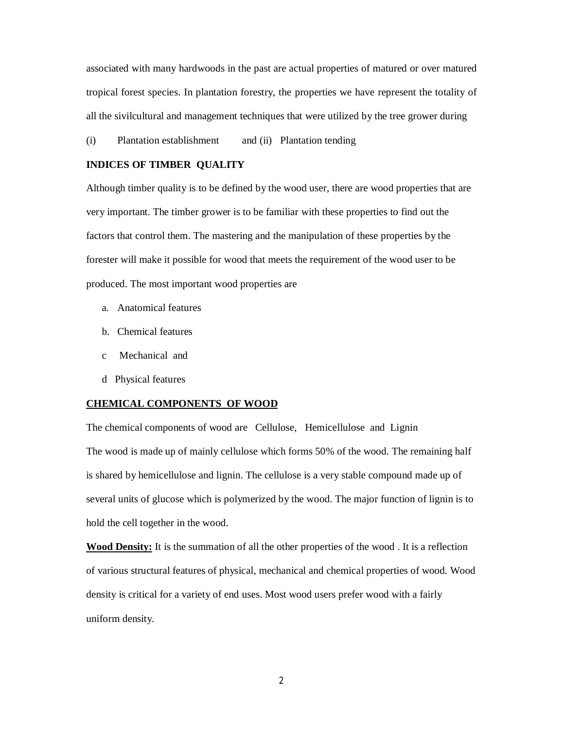associated with many hardwoods in the past are actual properties of matured or over matured tropical forest species. In plantation forestry, the properties we have represent the totality of all the sivilcultural and management techniques that were utilized by the tree grower during

(i) Plantation establishment and (ii) Plantation tending

## **INDICES OF TIMBER QUALITY**

Although timber quality is to be defined by the wood user, there are wood properties that are very important. The timber grower is to be familiar with these properties to find out the factors that control them. The mastering and the manipulation of these properties by the forester will make it possible for wood that meets the requirement of the wood user to be produced. The most important wood properties are

- a. Anatomical features
- b. Chemical features
- c Mechanical and
- d Physical features

#### **CHEMICAL COMPONENTS OF WOOD**

The chemical components of wood are Cellulose, Hemicellulose and Lignin The wood is made up of mainly cellulose which forms 50% of the wood. The remaining half is shared by hemicellulose and lignin. The cellulose is a very stable compound made up of several units of glucose which is polymerized by the wood. The major function of lignin is to hold the cell together in the wood.

**Wood Density:** It is the summation of all the other properties of the wood. It is a reflection of various structural features of physical, mechanical and chemical properties of wood. Wood density is critical for a variety of end uses. Most wood users prefer wood with a fairly uniform density.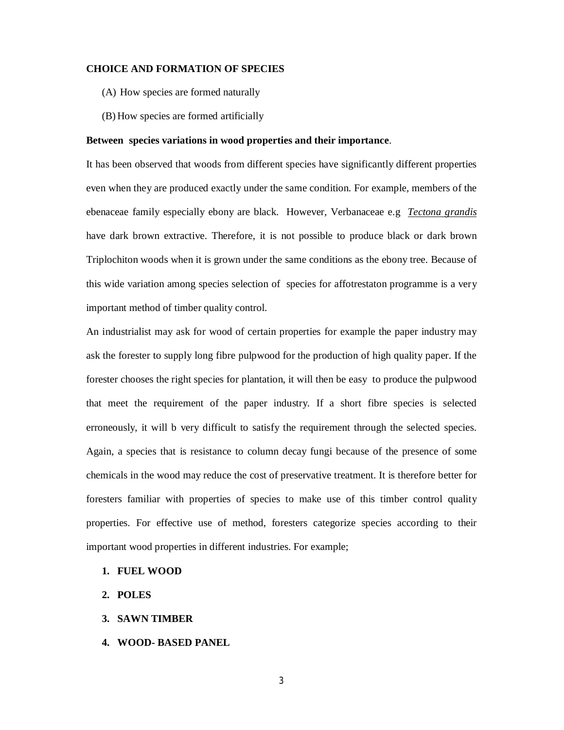### **CHOICE AND FORMATION OF SPECIES**

- (A) How species are formed naturally
- (B) How species are formed artificially

#### **Between species variations in wood properties and their importance**.

It has been observed that woods from different species have significantly different properties even when they are produced exactly under the same condition. For example, members of the ebenaceae family especially ebony are black. However, Verbanaceae e.g *Tectona grandis*  have dark brown extractive. Therefore, it is not possible to produce black or dark brown Triplochiton woods when it is grown under the same conditions as the ebony tree. Because of this wide variation among species selection of species for affotrestaton programme is a very important method of timber quality control.

An industrialist may ask for wood of certain properties for example the paper industry may ask the forester to supply long fibre pulpwood for the production of high quality paper. If the forester chooses the right species for plantation, it will then be easy to produce the pulpwood that meet the requirement of the paper industry. If a short fibre species is selected erroneously, it will b very difficult to satisfy the requirement through the selected species. Again, a species that is resistance to column decay fungi because of the presence of some chemicals in the wood may reduce the cost of preservative treatment. It is therefore better for foresters familiar with properties of species to make use of this timber control quality properties. For effective use of method, foresters categorize species according to their important wood properties in different industries. For example;

## **1. FUEL WOOD**

- **2. POLES**
- **3. SAWN TIMBER**
- **4. WOOD- BASED PANEL**

3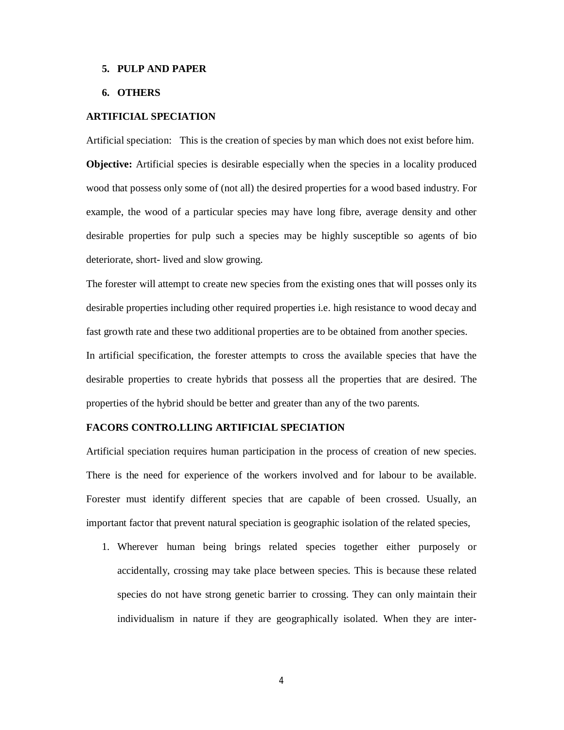#### **5. PULP AND PAPER**

# **6. OTHERS**

## **ARTIFICIAL SPECIATION**

Artificial speciation: This is the creation of species by man which does not exist before him.

**Objective:** Artificial species is desirable especially when the species in a locality produced wood that possess only some of (not all) the desired properties for a wood based industry. For example, the wood of a particular species may have long fibre, average density and other desirable properties for pulp such a species may be highly susceptible so agents of bio deteriorate, short- lived and slow growing.

The forester will attempt to create new species from the existing ones that will posses only its desirable properties including other required properties i.e. high resistance to wood decay and fast growth rate and these two additional properties are to be obtained from another species.

In artificial specification, the forester attempts to cross the available species that have the desirable properties to create hybrids that possess all the properties that are desired. The properties of the hybrid should be better and greater than any of the two parents.

# **FACORS CONTRO.LLING ARTIFICIAL SPECIATION**

Artificial speciation requires human participation in the process of creation of new species. There is the need for experience of the workers involved and for labour to be available. Forester must identify different species that are capable of been crossed. Usually, an important factor that prevent natural speciation is geographic isolation of the related species,

1. Wherever human being brings related species together either purposely or accidentally, crossing may take place between species. This is because these related species do not have strong genetic barrier to crossing. They can only maintain their individualism in nature if they are geographically isolated. When they are inter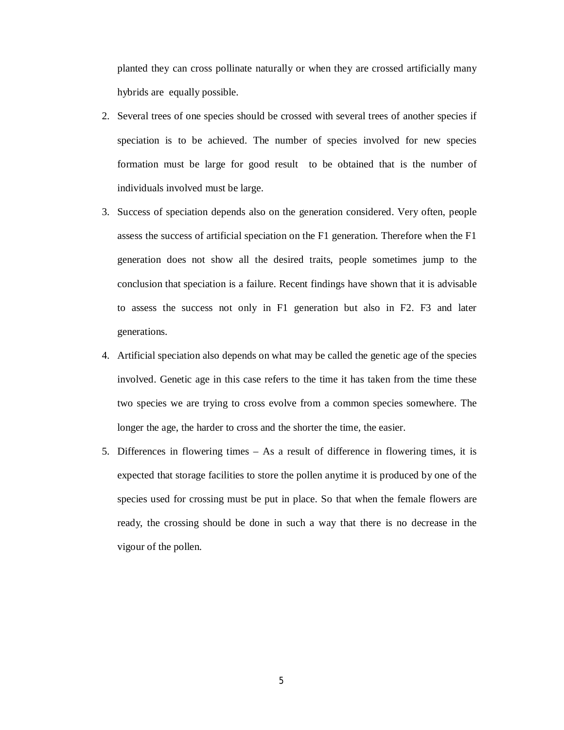planted they can cross pollinate naturally or when they are crossed artificially many hybrids are equally possible.

- 2. Several trees of one species should be crossed with several trees of another species if speciation is to be achieved. The number of species involved for new species formation must be large for good result to be obtained that is the number of individuals involved must be large.
- 3. Success of speciation depends also on the generation considered. Very often, people assess the success of artificial speciation on the F1 generation. Therefore when the F1 generation does not show all the desired traits, people sometimes jump to the conclusion that speciation is a failure. Recent findings have shown that it is advisable to assess the success not only in F1 generation but also in F2. F3 and later generations.
- 4. Artificial speciation also depends on what may be called the genetic age of the species involved. Genetic age in this case refers to the time it has taken from the time these two species we are trying to cross evolve from a common species somewhere. The longer the age, the harder to cross and the shorter the time, the easier.
- 5. Differences in flowering times As a result of difference in flowering times, it is expected that storage facilities to store the pollen anytime it is produced by one of the species used for crossing must be put in place. So that when the female flowers are ready, the crossing should be done in such a way that there is no decrease in the vigour of the pollen.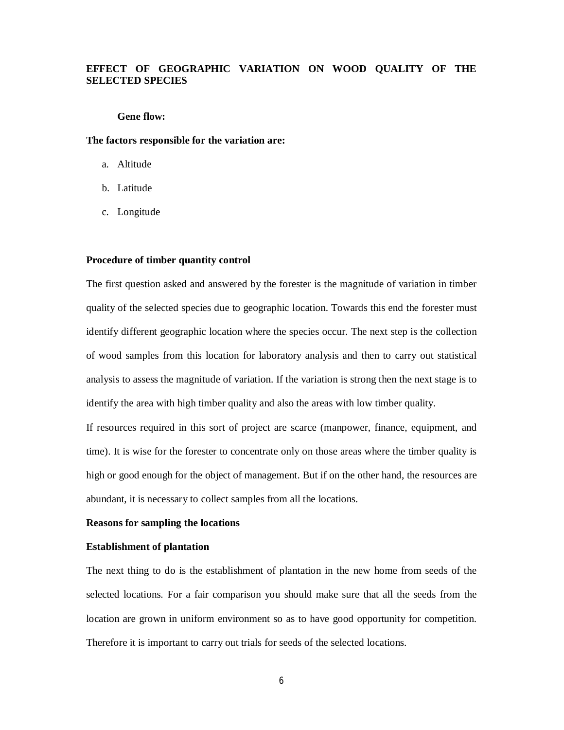# **EFFECT OF GEOGRAPHIC VARIATION ON WOOD QUALITY OF THE SELECTED SPECIES**

## **Gene flow:**

#### **The factors responsible for the variation are:**

- a. Altitude
- b. Latitude
- c. Longitude

## **Procedure of timber quantity control**

The first question asked and answered by the forester is the magnitude of variation in timber quality of the selected species due to geographic location. Towards this end the forester must identify different geographic location where the species occur. The next step is the collection of wood samples from this location for laboratory analysis and then to carry out statistical analysis to assess the magnitude of variation. If the variation is strong then the next stage is to identify the area with high timber quality and also the areas with low timber quality.

If resources required in this sort of project are scarce (manpower, finance, equipment, and time). It is wise for the forester to concentrate only on those areas where the timber quality is high or good enough for the object of management. But if on the other hand, the resources are abundant, it is necessary to collect samples from all the locations.

## **Reasons for sampling the locations**

## **Establishment of plantation**

The next thing to do is the establishment of plantation in the new home from seeds of the selected locations. For a fair comparison you should make sure that all the seeds from the location are grown in uniform environment so as to have good opportunity for competition. Therefore it is important to carry out trials for seeds of the selected locations.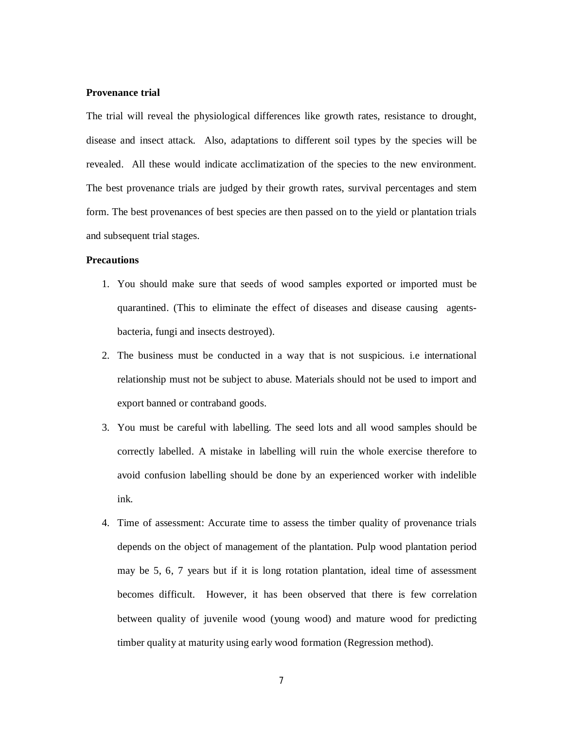#### **Provenance trial**

The trial will reveal the physiological differences like growth rates, resistance to drought, disease and insect attack. Also, adaptations to different soil types by the species will be revealed. All these would indicate acclimatization of the species to the new environment. The best provenance trials are judged by their growth rates, survival percentages and stem form. The best provenances of best species are then passed on to the yield or plantation trials and subsequent trial stages.

# **Precautions**

- 1. You should make sure that seeds of wood samples exported or imported must be quarantined. (This to eliminate the effect of diseases and disease causing agentsbacteria, fungi and insects destroyed).
- 2. The business must be conducted in a way that is not suspicious. i.e international relationship must not be subject to abuse. Materials should not be used to import and export banned or contraband goods.
- 3. You must be careful with labelling. The seed lots and all wood samples should be correctly labelled. A mistake in labelling will ruin the whole exercise therefore to avoid confusion labelling should be done by an experienced worker with indelible ink.
- 4. Time of assessment: Accurate time to assess the timber quality of provenance trials depends on the object of management of the plantation. Pulp wood plantation period may be 5, 6, 7 years but if it is long rotation plantation, ideal time of assessment becomes difficult. However, it has been observed that there is few correlation between quality of juvenile wood (young wood) and mature wood for predicting timber quality at maturity using early wood formation (Regression method).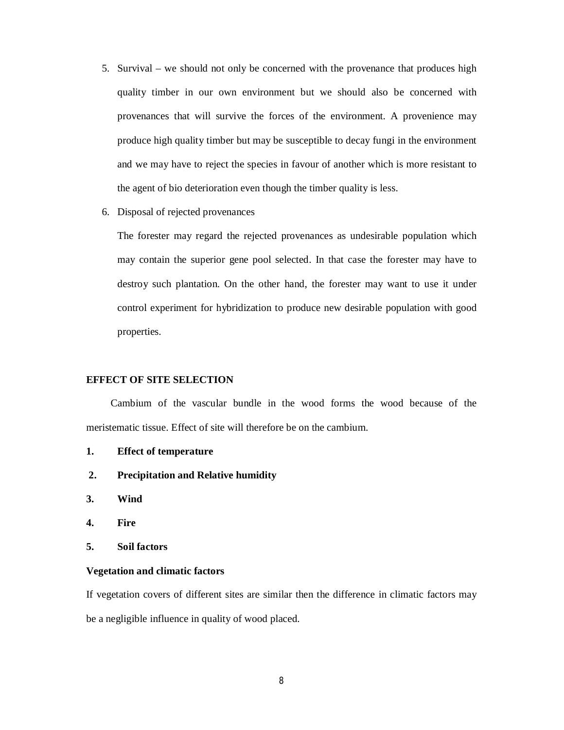- 5. Survival we should not only be concerned with the provenance that produces high quality timber in our own environment but we should also be concerned with provenances that will survive the forces of the environment. A provenience may produce high quality timber but may be susceptible to decay fungi in the environment and we may have to reject the species in favour of another which is more resistant to the agent of bio deterioration even though the timber quality is less.
- 6. Disposal of rejected provenances

The forester may regard the rejected provenances as undesirable population which may contain the superior gene pool selected. In that case the forester may have to destroy such plantation. On the other hand, the forester may want to use it under control experiment for hybridization to produce new desirable population with good properties.

# **EFFECT OF SITE SELECTION**

Cambium of the vascular bundle in the wood forms the wood because of the meristematic tissue. Effect of site will therefore be on the cambium.

- **1. Effect of temperature**
- **2. Precipitation and Relative humidity**
- **3. Wind**
- **4. Fire**
- **5. Soil factors**

## **Vegetation and climatic factors**

If vegetation covers of different sites are similar then the difference in climatic factors may be a negligible influence in quality of wood placed.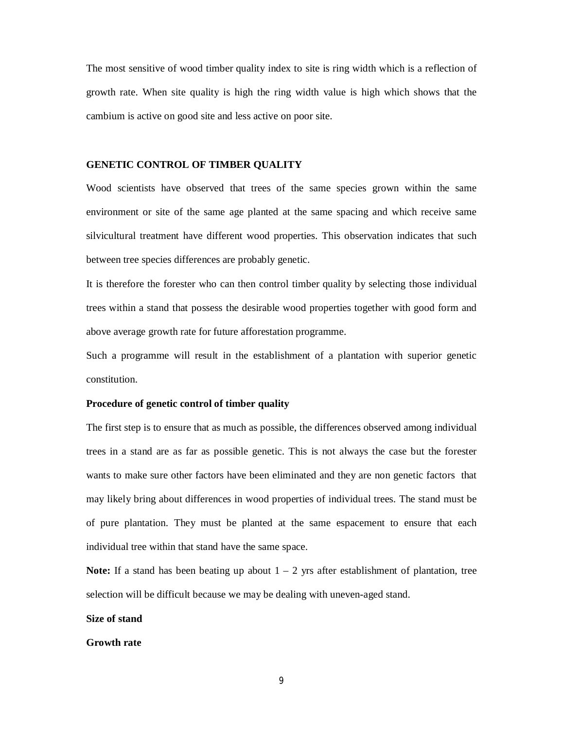The most sensitive of wood timber quality index to site is ring width which is a reflection of growth rate. When site quality is high the ring width value is high which shows that the cambium is active on good site and less active on poor site.

### **GENETIC CONTROL OF TIMBER QUALITY**

Wood scientists have observed that trees of the same species grown within the same environment or site of the same age planted at the same spacing and which receive same silvicultural treatment have different wood properties. This observation indicates that such between tree species differences are probably genetic.

It is therefore the forester who can then control timber quality by selecting those individual trees within a stand that possess the desirable wood properties together with good form and above average growth rate for future afforestation programme.

Such a programme will result in the establishment of a plantation with superior genetic constitution.

### **Procedure of genetic control of timber quality**

The first step is to ensure that as much as possible, the differences observed among individual trees in a stand are as far as possible genetic. This is not always the case but the forester wants to make sure other factors have been eliminated and they are non genetic factors that may likely bring about differences in wood properties of individual trees. The stand must be of pure plantation. They must be planted at the same espacement to ensure that each individual tree within that stand have the same space.

**Note:** If a stand has been beating up about  $1 - 2$  yrs after establishment of plantation, tree selection will be difficult because we may be dealing with uneven-aged stand.

## **Size of stand**

### **Growth rate**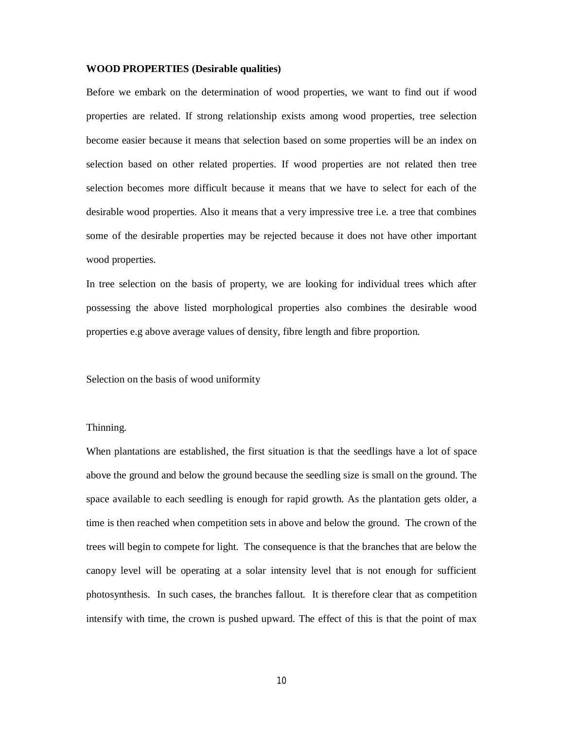### **WOOD PROPERTIES (Desirable qualities)**

Before we embark on the determination of wood properties, we want to find out if wood properties are related. If strong relationship exists among wood properties, tree selection become easier because it means that selection based on some properties will be an index on selection based on other related properties. If wood properties are not related then tree selection becomes more difficult because it means that we have to select for each of the desirable wood properties. Also it means that a very impressive tree i.e. a tree that combines some of the desirable properties may be rejected because it does not have other important wood properties.

In tree selection on the basis of property, we are looking for individual trees which after possessing the above listed morphological properties also combines the desirable wood properties e.g above average values of density, fibre length and fibre proportion.

Selection on the basis of wood uniformity

Thinning.

When plantations are established, the first situation is that the seedlings have a lot of space above the ground and below the ground because the seedling size is small on the ground. The space available to each seedling is enough for rapid growth. As the plantation gets older, a time is then reached when competition sets in above and below the ground. The crown of the trees will begin to compete for light. The consequence is that the branches that are below the canopy level will be operating at a solar intensity level that is not enough for sufficient photosynthesis. In such cases, the branches fallout. It is therefore clear that as competition intensify with time, the crown is pushed upward. The effect of this is that the point of max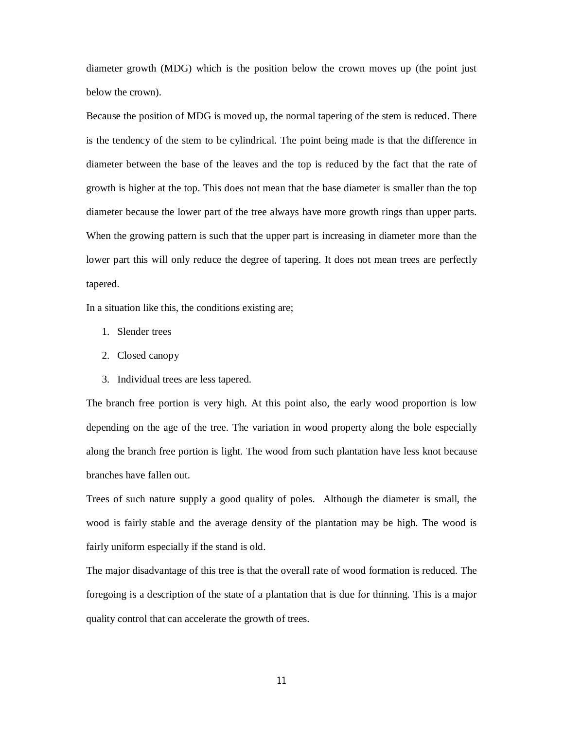diameter growth (MDG) which is the position below the crown moves up (the point just below the crown).

Because the position of MDG is moved up, the normal tapering of the stem is reduced. There is the tendency of the stem to be cylindrical. The point being made is that the difference in diameter between the base of the leaves and the top is reduced by the fact that the rate of growth is higher at the top. This does not mean that the base diameter is smaller than the top diameter because the lower part of the tree always have more growth rings than upper parts. When the growing pattern is such that the upper part is increasing in diameter more than the lower part this will only reduce the degree of tapering. It does not mean trees are perfectly tapered.

In a situation like this, the conditions existing are;

- 1. Slender trees
- 2. Closed canopy
- 3. Individual trees are less tapered.

The branch free portion is very high. At this point also, the early wood proportion is low depending on the age of the tree. The variation in wood property along the bole especially along the branch free portion is light. The wood from such plantation have less knot because branches have fallen out.

Trees of such nature supply a good quality of poles. Although the diameter is small, the wood is fairly stable and the average density of the plantation may be high. The wood is fairly uniform especially if the stand is old.

The major disadvantage of this tree is that the overall rate of wood formation is reduced. The foregoing is a description of the state of a plantation that is due for thinning. This is a major quality control that can accelerate the growth of trees.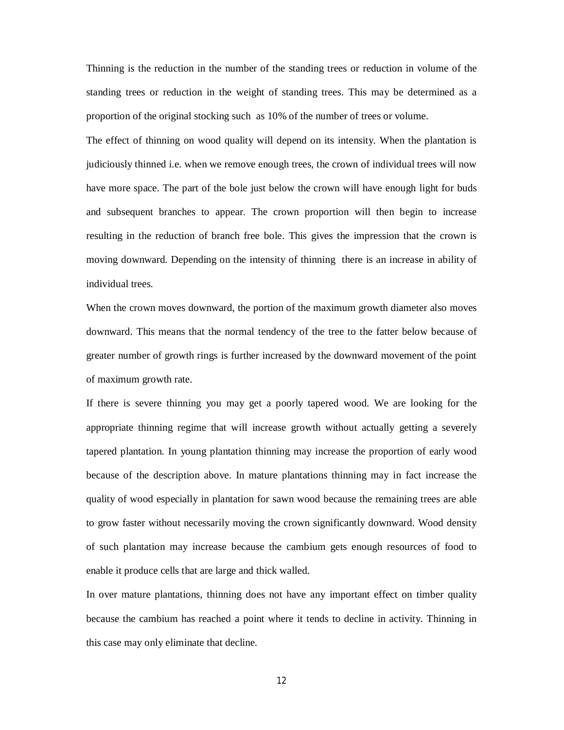Thinning is the reduction in the number of the standing trees or reduction in volume of the standing trees or reduction in the weight of standing trees. This may be determined as a proportion of the original stocking such as 10% of the number of trees or volume.

The effect of thinning on wood quality will depend on its intensity. When the plantation is judiciously thinned i.e. when we remove enough trees, the crown of individual trees will now have more space. The part of the bole just below the crown will have enough light for buds and subsequent branches to appear. The crown proportion will then begin to increase resulting in the reduction of branch free bole. This gives the impression that the crown is moving downward. Depending on the intensity of thinning there is an increase in ability of individual trees.

When the crown moves downward, the portion of the maximum growth diameter also moves downward. This means that the normal tendency of the tree to the fatter below because of greater number of growth rings is further increased by the downward movement of the point of maximum growth rate.

If there is severe thinning you may get a poorly tapered wood. We are looking for the appropriate thinning regime that will increase growth without actually getting a severely tapered plantation. In young plantation thinning may increase the proportion of early wood because of the description above. In mature plantations thinning may in fact increase the quality of wood especially in plantation for sawn wood because the remaining trees are able to grow faster without necessarily moving the crown significantly downward. Wood density of such plantation may increase because the cambium gets enough resources of food to enable it produce cells that are large and thick walled.

In over mature plantations, thinning does not have any important effect on timber quality because the cambium has reached a point where it tends to decline in activity. Thinning in this case may only eliminate that decline.

12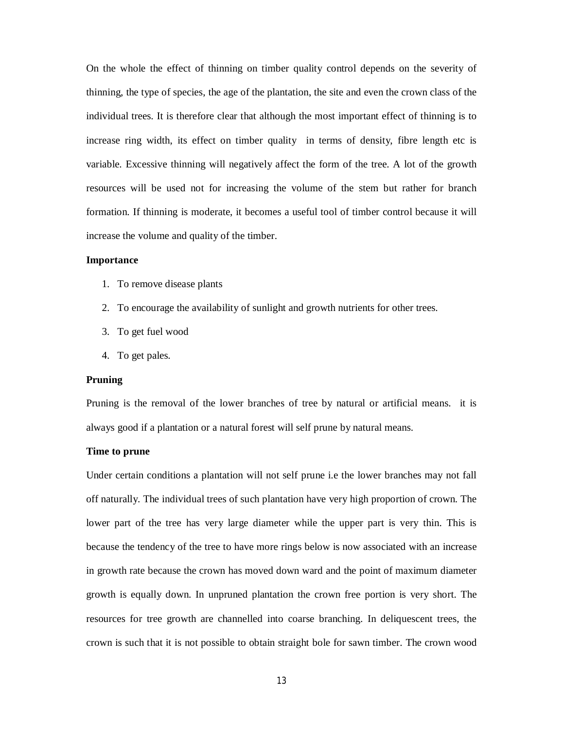On the whole the effect of thinning on timber quality control depends on the severity of thinning, the type of species, the age of the plantation, the site and even the crown class of the individual trees. It is therefore clear that although the most important effect of thinning is to increase ring width, its effect on timber quality in terms of density, fibre length etc is variable. Excessive thinning will negatively affect the form of the tree. A lot of the growth resources will be used not for increasing the volume of the stem but rather for branch formation. If thinning is moderate, it becomes a useful tool of timber control because it will increase the volume and quality of the timber.

## **Importance**

- 1. To remove disease plants
- 2. To encourage the availability of sunlight and growth nutrients for other trees.
- 3. To get fuel wood
- 4. To get pales.

# **Pruning**

Pruning is the removal of the lower branches of tree by natural or artificial means. it is always good if a plantation or a natural forest will self prune by natural means.

# **Time to prune**

Under certain conditions a plantation will not self prune i.e the lower branches may not fall off naturally. The individual trees of such plantation have very high proportion of crown. The lower part of the tree has very large diameter while the upper part is very thin. This is because the tendency of the tree to have more rings below is now associated with an increase in growth rate because the crown has moved down ward and the point of maximum diameter growth is equally down. In unpruned plantation the crown free portion is very short. The resources for tree growth are channelled into coarse branching. In deliquescent trees, the crown is such that it is not possible to obtain straight bole for sawn timber. The crown wood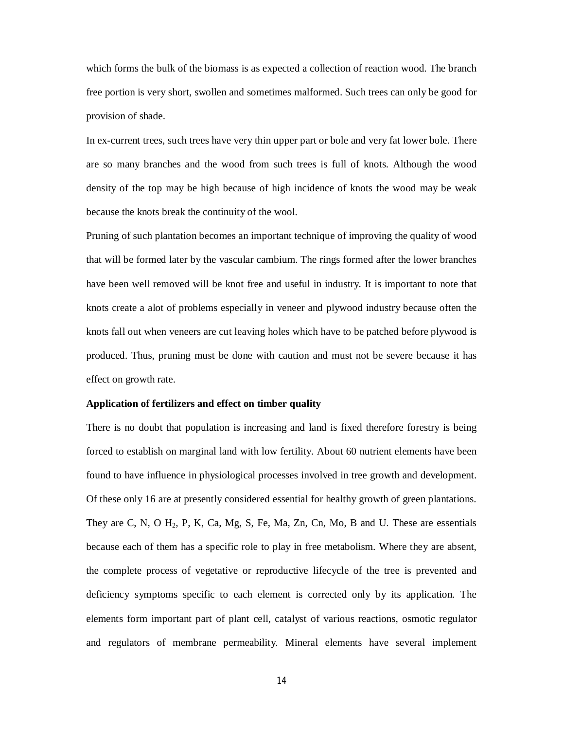which forms the bulk of the biomass is as expected a collection of reaction wood. The branch free portion is very short, swollen and sometimes malformed. Such trees can only be good for provision of shade.

In ex-current trees, such trees have very thin upper part or bole and very fat lower bole. There are so many branches and the wood from such trees is full of knots. Although the wood density of the top may be high because of high incidence of knots the wood may be weak because the knots break the continuity of the wool.

Pruning of such plantation becomes an important technique of improving the quality of wood that will be formed later by the vascular cambium. The rings formed after the lower branches have been well removed will be knot free and useful in industry. It is important to note that knots create a alot of problems especially in veneer and plywood industry because often the knots fall out when veneers are cut leaving holes which have to be patched before plywood is produced. Thus, pruning must be done with caution and must not be severe because it has effect on growth rate.

### **Application of fertilizers and effect on timber quality**

There is no doubt that population is increasing and land is fixed therefore forestry is being forced to establish on marginal land with low fertility. About 60 nutrient elements have been found to have influence in physiological processes involved in tree growth and development. Of these only 16 are at presently considered essential for healthy growth of green plantations. They are C, N, O  $H_2$ , P, K, Ca, Mg, S, Fe, Ma, Zn, Cn, Mo, B and U. These are essentials because each of them has a specific role to play in free metabolism. Where they are absent, the complete process of vegetative or reproductive lifecycle of the tree is prevented and deficiency symptoms specific to each element is corrected only by its application. The elements form important part of plant cell, catalyst of various reactions, osmotic regulator and regulators of membrane permeability. Mineral elements have several implement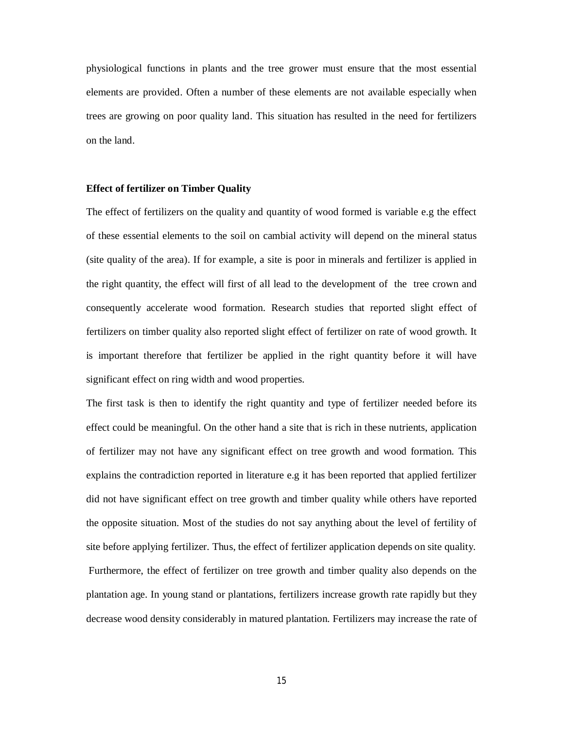physiological functions in plants and the tree grower must ensure that the most essential elements are provided. Often a number of these elements are not available especially when trees are growing on poor quality land. This situation has resulted in the need for fertilizers on the land.

### **Effect of fertilizer on Timber Quality**

The effect of fertilizers on the quality and quantity of wood formed is variable e.g the effect of these essential elements to the soil on cambial activity will depend on the mineral status (site quality of the area). If for example, a site is poor in minerals and fertilizer is applied in the right quantity, the effect will first of all lead to the development of the tree crown and consequently accelerate wood formation. Research studies that reported slight effect of fertilizers on timber quality also reported slight effect of fertilizer on rate of wood growth. It is important therefore that fertilizer be applied in the right quantity before it will have significant effect on ring width and wood properties.

The first task is then to identify the right quantity and type of fertilizer needed before its effect could be meaningful. On the other hand a site that is rich in these nutrients, application of fertilizer may not have any significant effect on tree growth and wood formation. This explains the contradiction reported in literature e.g it has been reported that applied fertilizer did not have significant effect on tree growth and timber quality while others have reported the opposite situation. Most of the studies do not say anything about the level of fertility of site before applying fertilizer. Thus, the effect of fertilizer application depends on site quality. Furthermore, the effect of fertilizer on tree growth and timber quality also depends on the plantation age. In young stand or plantations, fertilizers increase growth rate rapidly but they decrease wood density considerably in matured plantation. Fertilizers may increase the rate of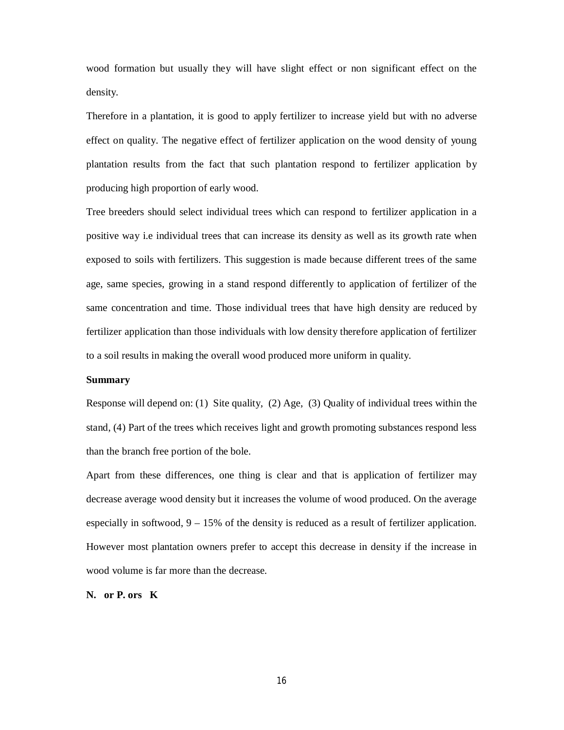wood formation but usually they will have slight effect or non significant effect on the density.

Therefore in a plantation, it is good to apply fertilizer to increase yield but with no adverse effect on quality. The negative effect of fertilizer application on the wood density of young plantation results from the fact that such plantation respond to fertilizer application by producing high proportion of early wood.

Tree breeders should select individual trees which can respond to fertilizer application in a positive way i.e individual trees that can increase its density as well as its growth rate when exposed to soils with fertilizers. This suggestion is made because different trees of the same age, same species, growing in a stand respond differently to application of fertilizer of the same concentration and time. Those individual trees that have high density are reduced by fertilizer application than those individuals with low density therefore application of fertilizer to a soil results in making the overall wood produced more uniform in quality.

# **Summary**

Response will depend on: (1) Site quality, (2) Age, (3) Quality of individual trees within the stand, (4) Part of the trees which receives light and growth promoting substances respond less than the branch free portion of the bole.

Apart from these differences, one thing is clear and that is application of fertilizer may decrease average wood density but it increases the volume of wood produced. On the average especially in softwood,  $9 - 15\%$  of the density is reduced as a result of fertilizer application. However most plantation owners prefer to accept this decrease in density if the increase in wood volume is far more than the decrease.

**N. or P. ors K**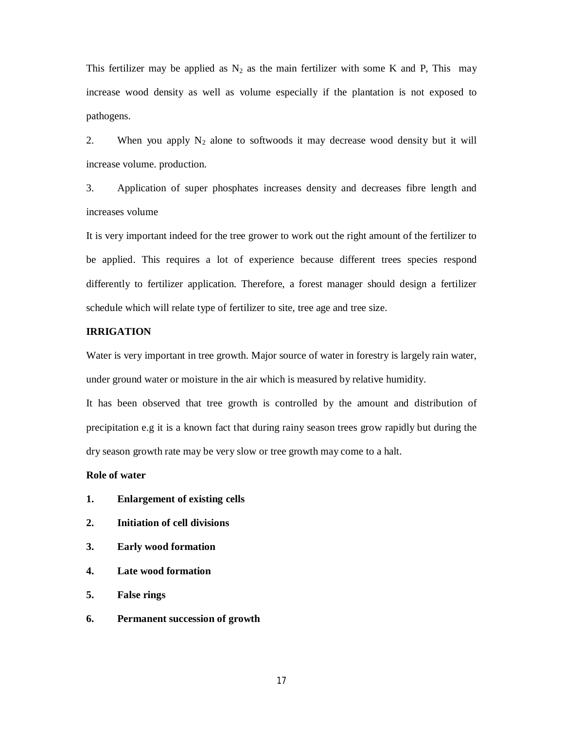This fertilizer may be applied as  $N_2$  as the main fertilizer with some K and P, This may increase wood density as well as volume especially if the plantation is not exposed to pathogens.

2. When you apply  $N_2$  alone to softwoods it may decrease wood density but it will increase volume. production.

3. Application of super phosphates increases density and decreases fibre length and increases volume

It is very important indeed for the tree grower to work out the right amount of the fertilizer to be applied. This requires a lot of experience because different trees species respond differently to fertilizer application. Therefore, a forest manager should design a fertilizer schedule which will relate type of fertilizer to site, tree age and tree size.

# **IRRIGATION**

Water is very important in tree growth. Major source of water in forestry is largely rain water, under ground water or moisture in the air which is measured by relative humidity.

It has been observed that tree growth is controlled by the amount and distribution of precipitation e.g it is a known fact that during rainy season trees grow rapidly but during the dry season growth rate may be very slow or tree growth may come to a halt.

# **Role of water**

- **1. Enlargement of existing cells**
- **2. Initiation of cell divisions**
- **3. Early wood formation**
- **4. Late wood formation**
- **5. False rings**
- **6. Permanent succession of growth**

17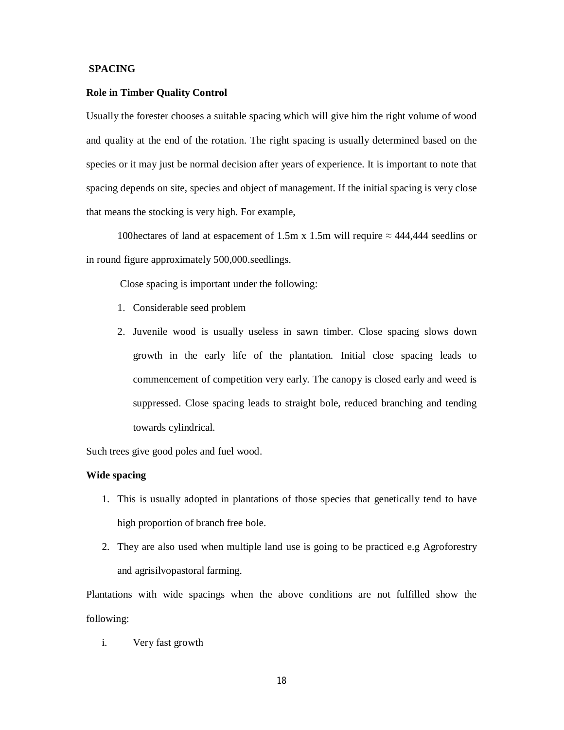## **SPACING**

#### **Role in Timber Quality Control**

Usually the forester chooses a suitable spacing which will give him the right volume of wood and quality at the end of the rotation. The right spacing is usually determined based on the species or it may just be normal decision after years of experience. It is important to note that spacing depends on site, species and object of management. If the initial spacing is very close that means the stocking is very high. For example,

100 hectares of land at espacement of 1.5m x 1.5m will require  $\approx$  444,444 seedlins or in round figure approximately 500,000.seedlings.

Close spacing is important under the following:

- 1. Considerable seed problem
- 2. Juvenile wood is usually useless in sawn timber. Close spacing slows down growth in the early life of the plantation. Initial close spacing leads to commencement of competition very early. The canopy is closed early and weed is suppressed. Close spacing leads to straight bole, reduced branching and tending towards cylindrical.

Such trees give good poles and fuel wood.

# **Wide spacing**

- 1. This is usually adopted in plantations of those species that genetically tend to have high proportion of branch free bole.
- 2. They are also used when multiple land use is going to be practiced e.g Agroforestry and agrisilvopastoral farming.

Plantations with wide spacings when the above conditions are not fulfilled show the following:

i. Very fast growth